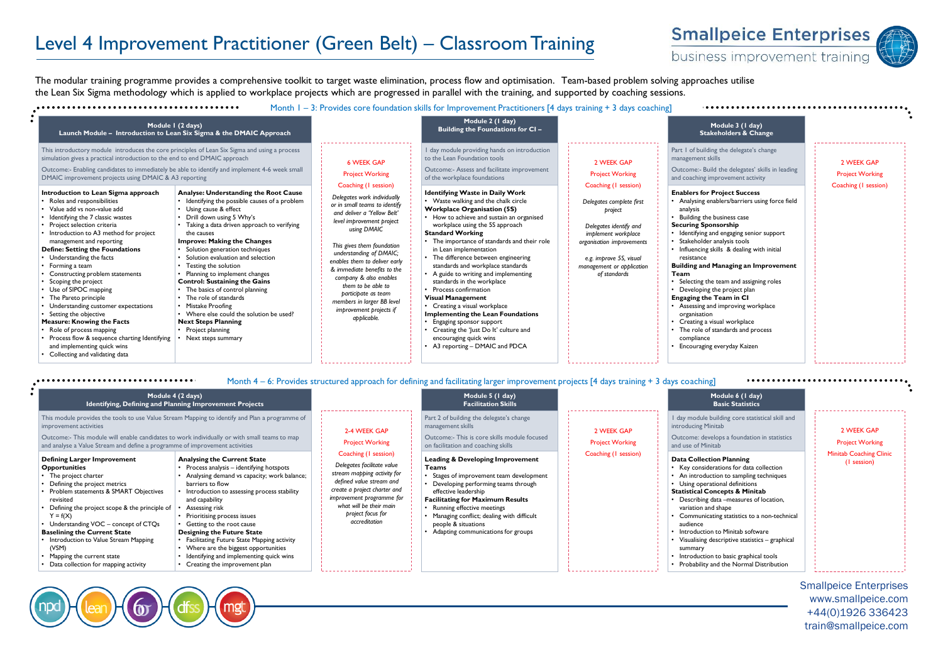## Level 4 Improvement Practitioner (Green Belt) – Classroom Training



business improvement training

The modular training programme provides a comprehensive toolkit to target waste elimination, process flow and optimisation. Team-based problem solving approaches utilise the Lean Six Sigma methodology which is applied to workplace projects which are progressed in parallel with the training, and supported by coaching sessions.



Month 4 – 6: Provides structured approach for defining and facilitating larger improvement projects [4 days training + 3 days coaching]

| Module 4 (2 days)<br>Identifying, Defining and Planning Improvement Projects                                                                                                                                                                                                                                                                                                                                                              |                                                                                                                                                                                                                                                                                                                                                                                                                                                                                                                 |                                                                                                                                                                                                                                             | Module 5 (1 day)<br><b>Facilitation Skills</b>                                                                                                                                                                                                                                                                                                                  |                                      | Module 6 (1 day)<br><b>Basic Statistics</b>                                                                                                                                                                                                                                                                                                                                                                                                                                                                        |                                               |
|-------------------------------------------------------------------------------------------------------------------------------------------------------------------------------------------------------------------------------------------------------------------------------------------------------------------------------------------------------------------------------------------------------------------------------------------|-----------------------------------------------------------------------------------------------------------------------------------------------------------------------------------------------------------------------------------------------------------------------------------------------------------------------------------------------------------------------------------------------------------------------------------------------------------------------------------------------------------------|---------------------------------------------------------------------------------------------------------------------------------------------------------------------------------------------------------------------------------------------|-----------------------------------------------------------------------------------------------------------------------------------------------------------------------------------------------------------------------------------------------------------------------------------------------------------------------------------------------------------------|--------------------------------------|--------------------------------------------------------------------------------------------------------------------------------------------------------------------------------------------------------------------------------------------------------------------------------------------------------------------------------------------------------------------------------------------------------------------------------------------------------------------------------------------------------------------|-----------------------------------------------|
| This module provides the tools to use Value Stream Mapping to identify and Plan a programme of<br>improvement activities<br>Outcome:- This module will enable candidates to work individually or with small teams to map<br>and analyse a Value Stream and define a programme of improvement activities                                                                                                                                   |                                                                                                                                                                                                                                                                                                                                                                                                                                                                                                                 | 2-4 WEEK GAP<br><b>Project Working</b>                                                                                                                                                                                                      | Part 2 of building the delegate's change<br>management skills<br>Outcome:- This is core skills module focused<br>on facilitation and coaching skills                                                                                                                                                                                                            | 2 WEEK GAP<br><b>Project Working</b> | I day module building core statistical skill and<br>introducing Minitab<br>Outcome: develops a foundation in statistics<br>and use of Minitab                                                                                                                                                                                                                                                                                                                                                                      | 2 WEEK GAP<br><b>Project Working</b>          |
| <b>Defining Larger Improvement</b><br>Opportunities<br>• The project charter<br>Defining the project metrics<br>• Problem statements & SMART Objectives<br>revisited<br>Defining the project scope & the principle of<br>$Y = f(X)$<br>Understanding VOC - concept of CTQs<br><b>Baselining the Current State</b><br>• Introduction to Value Stream Mapping<br>(VSM)<br>Mapping the current state<br>Data collection for mapping activity | <b>Analysing the Current State</b><br>• Process analysis - identifying hotspots<br>Analysing demand vs capacity; work balance;<br>barriers to flow<br>Introduction to assessing process stability<br>and capability<br>Assessing risk<br>• Prioritising process issues<br>• Getting to the root cause<br><b>Designing the Future State</b><br>• Facilitating Future State Mapping activity<br>• Where are the biggest opportunities<br>Identifying and implementing quick wins<br>Creating the improvement plan | Coaching (1 session)<br>Delegates facilitate value<br>stream mapping activity for<br>defined value stream and<br>create a project charter and<br>improvement programme for<br>what will be their main<br>project focus for<br>accreditation | <b>Leading &amp; Developing Improvement</b><br><b>Teams</b><br>• Stages of improvement team development<br>• Developing performing teams through<br>effective leadership<br><b>Facilitating for Maximum Results</b><br>• Running effective meetings<br>• Managing conflict; dealing with difficult<br>people & situations<br>Adapting communications for groups | Coaching (I session)                 | <b>Data Collection Planning</b><br>Key considerations for data collection<br>An introduction to sampling techniques<br>Using operational definitions<br><b>Statistical Concepts &amp; Minitab</b><br>Describing data -measures of location,<br>variation and shape<br>Communicating statistics to a non-technical<br>audience<br>Introduction to Minitab software<br>Visualising descriptive statistics - graphical<br>summary<br>Introduction to basic graphical tools<br>Probability and the Normal Distribution | <b>Minitab Coaching Clinic</b><br>(I session) |

Smallpeice Enterprises www.smallpeice.com +44(0)1926 336423 train@smallpeice.com

,,,,,,,,,,,,,,,,,,,,,,,,,,,,,,,,,